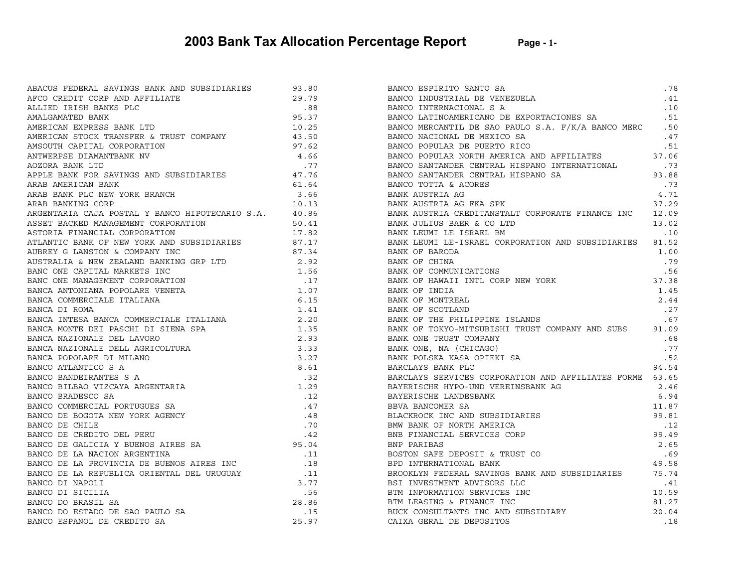| ARAB BANKING CORP                                                                                                                                                                                                                                   | 10.13 |
|-----------------------------------------------------------------------------------------------------------------------------------------------------------------------------------------------------------------------------------------------------|-------|
| ARGENTARIA CAJA POSTAL Y BANCO HIPOTECARIO S.A.                                                                                                                                                                                                     | 40.86 |
|                                                                                                                                                                                                                                                     |       |
|                                                                                                                                                                                                                                                     |       |
|                                                                                                                                                                                                                                                     |       |
|                                                                                                                                                                                                                                                     |       |
|                                                                                                                                                                                                                                                     |       |
|                                                                                                                                                                                                                                                     |       |
|                                                                                                                                                                                                                                                     |       |
|                                                                                                                                                                                                                                                     |       |
|                                                                                                                                                                                                                                                     |       |
|                                                                                                                                                                                                                                                     |       |
|                                                                                                                                                                                                                                                     |       |
|                                                                                                                                                                                                                                                     |       |
|                                                                                                                                                                                                                                                     |       |
|                                                                                                                                                                                                                                                     |       |
|                                                                                                                                                                                                                                                     |       |
|                                                                                                                                                                                                                                                     |       |
|                                                                                                                                                                                                                                                     |       |
|                                                                                                                                                                                                                                                     |       |
|                                                                                                                                                                                                                                                     |       |
| ARGENTIARING CONTRACTED TO BE NECESSARY CONFIDENT CORPORATION (1997 BANCO HIPOTECARIO S.A. 1958<br>ARGENTARIA CAJA POSTAL Y BANCO RIPORATION (1997 - 1997 - 1997 - 1997 - 1997 - 1997 - 1997 - 1997 - 1997 - 1997 - 1998 - 1998                     |       |
|                                                                                                                                                                                                                                                     |       |
|                                                                                                                                                                                                                                                     |       |
|                                                                                                                                                                                                                                                     |       |
|                                                                                                                                                                                                                                                     |       |
|                                                                                                                                                                                                                                                     | .11   |
|                                                                                                                                                                                                                                                     | .18   |
|                                                                                                                                                                                                                                                     | .11   |
|                                                                                                                                                                                                                                                     | 3.77  |
| BANCO DE LA NACION ARGENTINA<br>BANCO DE LA PROVINCIA DE BUENOS AIRES INC<br>BANCO DE LA REPUBLICA ORIENTAL DEL URUGUAY<br>BANCO DI NAPOLI<br>BANCO DI SICILIA<br>BANCO DO BRASIL SA<br>BANCO DO ESTADO DE SAO PAULO SA<br>BANCO DO ESTADO DE CREDI | .56   |
|                                                                                                                                                                                                                                                     | 28.86 |
|                                                                                                                                                                                                                                                     | .15   |
|                                                                                                                                                                                                                                                     | 25.97 |
|                                                                                                                                                                                                                                                     |       |

| BANCO ESPIRITO SANTO SA                                  | $\boldsymbol{\cdot}$ 78 |
|----------------------------------------------------------|-------------------------|
| BANCO INDUSTRIAL DE VENEZUELA                            | .41                     |
| BANCO INTERNACIONAL S A                                  | .10                     |
| BANCO LATINOAMERICANO DE EXPORTACIONES SA                | .51                     |
| BANCO MERCANTIL DE SAO PAULO S.A. F/K/A BANCO MERC .50   |                         |
| BANCO NACIONAL DE MEXICO SA                              | .47                     |
| BANCO POPULAR DE PUERTO RICO                             | .51                     |
| BANCO POPULAR NORTH AMERICA AND AFFILIATES               | 37.06                   |
| BANCO SANTANDER CENTRAL HISPANO INTERNATIONAL            | .73                     |
| BANCO SANTANDER CENTRAL HISPANO SA                       | 93.88                   |
| BANCO TOTTA & ACORES                                     | .73                     |
| <b>BANK AUSTRIA AG</b>                                   | 4.71                    |
| BANK AUSTRIA AG FKA SPK                                  | 37.29                   |
| BANK AUSTRIA CREDITANSTALT CORPORATE FINANCE INC 12.09   |                         |
| BANK JULIUS BAER & CO LTD                                | 13.02                   |
| BANK LEUMI LE ISRAEL BM                                  | .10                     |
| BANK LEUMI LE-ISRAEL CORPORATION AND SUBSIDIARIES 81.52  |                         |
| BANK OF BARODA                                           | 1.00                    |
| BANK OF CHINA                                            | .79                     |
| BANK OF COMMUNICATIONS                                   | .56                     |
| BANK OF HAWAII INTL CORP NEW YORK                        | 37.38                   |
| BANK OF INDIA                                            | 1.45                    |
| BANK OF MONTREAL                                         | 2.44                    |
| BANK OF SCOTLAND                                         | .27                     |
| BANK OF THE PHILIPPINE ISLANDS                           | .67                     |
| BANK OF TOKYO-MITSUBISHI TRUST COMPANY AND SUBS 91.09    |                         |
| BANK ONE TRUST COMPANY                                   | .68                     |
| BANK ONE, NA (CHICAGO)                                   | .77                     |
| BANK POLSKA KASA OPIEKI SA                               | .52                     |
| BARCLAYS BANK PLC                                        | 94.54                   |
| BARCLAYS SERVICES CORPORATION AND AFFILIATES FORME 63.65 |                         |
| BAYERISCHE HYPO-UND VEREINSBANK AG                       | 2.46                    |
| BAYERISCHE LANDESBANK                                    | 6.94                    |
| BBVA BANCOMER SA                                         | 11.87                   |
| BLACKROCK INC AND SUBSIDIARIES                           | 99.81                   |
| BMW BANK OF NORTH AMERICA                                | $\ldots$ 12             |
| BNB FINANCIAL SERVICES CORP                              | 99.49                   |
| BNP PARIBAS                                              | 2.65                    |
| BOSTON SAFE DEPOSIT & TRUST CO                           | .69                     |
| BPD INTERNATIONAL BANK                                   | 49.58                   |
| BROOKLYN FEDERAL SAVINGS BANK AND SUBSIDIARIES 75.74     |                         |
| BSI INVESTMENT ADVISORS LLC                              | .41                     |
| BTM INFORMATION SERVICES INC                             | 10.59                   |
| BTM LEASING & FINANCE INC                                | 81.27                   |
| BUCK CONSULTANTS INC AND SUBSIDIARY                      | 20.04                   |
| CAIXA GERAL DE DEPOSITOS                                 | $\ldots$                |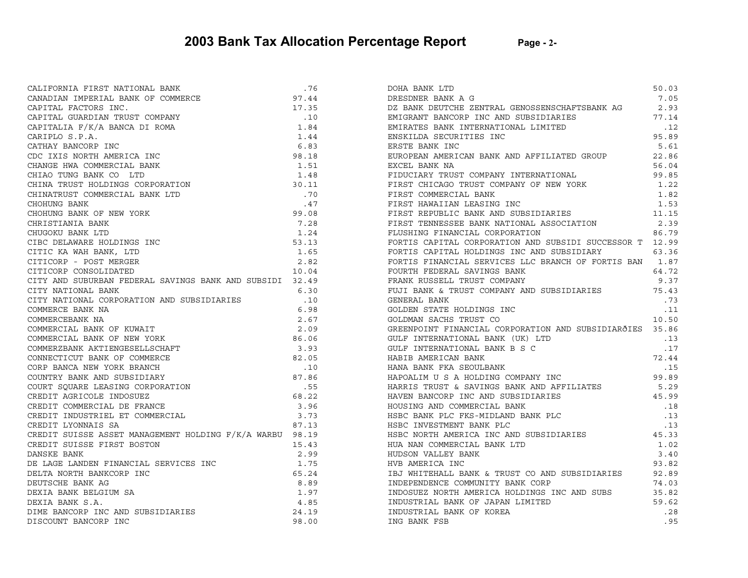|                                                                                                                                                                                                                                                                                                                                                                                                                                                                | .76   |
|----------------------------------------------------------------------------------------------------------------------------------------------------------------------------------------------------------------------------------------------------------------------------------------------------------------------------------------------------------------------------------------------------------------------------------------------------------------|-------|
|                                                                                                                                                                                                                                                                                                                                                                                                                                                                | 97.44 |
|                                                                                                                                                                                                                                                                                                                                                                                                                                                                | 17.35 |
|                                                                                                                                                                                                                                                                                                                                                                                                                                                                | .10   |
|                                                                                                                                                                                                                                                                                                                                                                                                                                                                | 1.84  |
| CALIFORNIA FIRST NATIONAL BANK<br>CANDIAN IMPERIAL BANK OF COMMERCE<br>CAPITAL FACTORS INC.<br>CAPITAL GUARDIAN TRUST COMPANY<br>CAPITAL GUARDIAN TRUST COMPANY<br>CAPITALIA F/K/A BANCA DI ROMA<br>CARIPLO S.P.A.<br>COLC IXIS NORTH AMERIC                                                                                                                                                                                                                   | 1.44  |
|                                                                                                                                                                                                                                                                                                                                                                                                                                                                | 6.83  |
|                                                                                                                                                                                                                                                                                                                                                                                                                                                                | 98.18 |
|                                                                                                                                                                                                                                                                                                                                                                                                                                                                | 1.51  |
|                                                                                                                                                                                                                                                                                                                                                                                                                                                                | 1.48  |
|                                                                                                                                                                                                                                                                                                                                                                                                                                                                | 30.11 |
|                                                                                                                                                                                                                                                                                                                                                                                                                                                                | .70   |
|                                                                                                                                                                                                                                                                                                                                                                                                                                                                | .47   |
|                                                                                                                                                                                                                                                                                                                                                                                                                                                                | 99.08 |
|                                                                                                                                                                                                                                                                                                                                                                                                                                                                | 7.28  |
|                                                                                                                                                                                                                                                                                                                                                                                                                                                                | 1.24  |
|                                                                                                                                                                                                                                                                                                                                                                                                                                                                | 53.13 |
|                                                                                                                                                                                                                                                                                                                                                                                                                                                                | 1.65  |
|                                                                                                                                                                                                                                                                                                                                                                                                                                                                | 2.82  |
|                                                                                                                                                                                                                                                                                                                                                                                                                                                                | 10.04 |
| CITY AND SUBURBAN FEDERAL SAVINGS BANK AND SUBSIDI 32.49                                                                                                                                                                                                                                                                                                                                                                                                       |       |
| CITY NATIONAL BANK                                                                                                                                                                                                                                                                                                                                                                                                                                             | 6.30  |
|                                                                                                                                                                                                                                                                                                                                                                                                                                                                |       |
|                                                                                                                                                                                                                                                                                                                                                                                                                                                                |       |
|                                                                                                                                                                                                                                                                                                                                                                                                                                                                |       |
|                                                                                                                                                                                                                                                                                                                                                                                                                                                                |       |
|                                                                                                                                                                                                                                                                                                                                                                                                                                                                |       |
|                                                                                                                                                                                                                                                                                                                                                                                                                                                                |       |
|                                                                                                                                                                                                                                                                                                                                                                                                                                                                |       |
|                                                                                                                                                                                                                                                                                                                                                                                                                                                                |       |
|                                                                                                                                                                                                                                                                                                                                                                                                                                                                |       |
|                                                                                                                                                                                                                                                                                                                                                                                                                                                                |       |
|                                                                                                                                                                                                                                                                                                                                                                                                                                                                |       |
|                                                                                                                                                                                                                                                                                                                                                                                                                                                                |       |
|                                                                                                                                                                                                                                                                                                                                                                                                                                                                |       |
|                                                                                                                                                                                                                                                                                                                                                                                                                                                                |       |
| CREDIT SUISSE ASSET MANAGEMENT HOLDING F/K/A WARBU 98.19                                                                                                                                                                                                                                                                                                                                                                                                       |       |
| CREDIT SUISSE FIRST BOSTON                                                                                                                                                                                                                                                                                                                                                                                                                                     | 15.43 |
| DANSKE BANK                                                                                                                                                                                                                                                                                                                                                                                                                                                    | 2.99  |
|                                                                                                                                                                                                                                                                                                                                                                                                                                                                |       |
|                                                                                                                                                                                                                                                                                                                                                                                                                                                                |       |
|                                                                                                                                                                                                                                                                                                                                                                                                                                                                |       |
|                                                                                                                                                                                                                                                                                                                                                                                                                                                                |       |
|                                                                                                                                                                                                                                                                                                                                                                                                                                                                |       |
|                                                                                                                                                                                                                                                                                                                                                                                                                                                                |       |
| $\begin{tabular}{lllllllllllllllllllllll} \multicolumn{2}{c }{\textbf{DE LAGE LANDEN FINANCIAL SERVICES INC}} & & & & & & & & \\ \multicolumn{2}{c }{\textbf{DE LAGE LANDEN FINANCIAL SERVICES INC}} & & & & & 1.75 \\ \multicolumn{2}{c }{\textbf{DELTA NORTH BANK AG}} & & & & 65.24 \\ \multicolumn{2}{c }{\textbf{DEUTSCHE BANK AG}} & & & 8.89 \\ \multicolumn{2}{c }{\textbf{DEXIA BANK S.A.}} & & & 1.97 \\ \multicolumn{2}{c }{\textbf{DEXIA BANK S.A$ |       |

| DOHA BANK LTD                                                               | 50.03 |
|-----------------------------------------------------------------------------|-------|
| DRESDNER BANK A G                                                           | 7.05  |
| DZ BANK DEUTCHE ZENTRAL GENOSSENSCHAFTSBANK AG                              | 2.93  |
| EMIGRANT BANCORP INC AND SUBSIDIARIES                                       | 77.14 |
| EMIRATES BANK INTERNATIONAL LIMITED                                         | .12   |
| ENSKILDA SECURITIES INC                                                     | 95.89 |
| ERSTE BANK INC                                                              | 5.61  |
| EUROPEAN AMERICAN BANK AND AFFILIATED GROUP                                 | 22.86 |
| EXCEL BANK NA                                                               | 56.04 |
| FIDUCIARY TRUST COMPANY INTERNATIONAL                                       | 99.85 |
| FIRST CHICAGO TRUST COMPANY OF NEW YORK                                     | 1.22  |
| FIRST COMMERCIAL BANK                                                       | 1.82  |
| FIRST HAWAIIAN LEASING INC                                                  | 1.53  |
| FIRST REPUBLIC BANK AND SUBSIDIARIES                                        | 11.15 |
| FIRST TENNESSEE BANK NATIONAL ASSOCIATION<br>FLUSHING FINANCIAL CORPORATION | 2.39  |
|                                                                             | 86.79 |
| FORTIS CAPITAL CORPORATION AND SUBSIDI SUCCESSOR T 12.99                    |       |
| FORTIS CAPITAL HOLDINGS INC AND SUBSIDIARY                                  | 63.36 |
| FORTIS FINANCIAL SERVICES LLC BRANCH OF FORTIS BAN 1.87                     |       |
| FOURTH FEDERAL SAVINGS BANK                                                 | 64.72 |
| FRANK RUSSELL TRUST COMPANY                                                 | 9.37  |
| FUJI BANK & TRUST COMPANY AND SUBSIDIARIES                                  | 75.43 |
| GENERAL BANK                                                                | .73   |
| GOLDEN STATE HOLDINGS INC                                                   | .11   |
| GOLDMAN SACHS TRUST CO                                                      | 10.50 |
| GREENPOINT FINANCIAL CORPORATION AND SUBSIDIARÕIES 35.86                    |       |
| GULF INTERNATIONAL BANK (UK) LTD                                            | .13   |
| GULF INTERNATIONAL BANK B S C                                               | .17   |
| HABIB AMERICAN BANK                                                         | 72.44 |
| HANA BANK FKA SEOULBANK                                                     | .15   |
| HAPOALIM U S A HOLDING COMPANY INC                                          | 99.89 |
| HARRIS TRUST & SAVINGS BANK AND AFFILIATES                                  | 5.29  |
| HAVEN BANCORP INC AND SUBSIDIARIES                                          | 45.99 |
| HOUSING AND COMMERCIAL BANK                                                 | .18   |
| HSBC BANK PLC FKS-MIDLAND BANK PLC                                          | .13   |
| HSBC INVESTMENT BANK PLC                                                    | .13   |
| HSBC NORTH AMERICA INC AND SUBSIDIARIES                                     | 45.33 |
| HUA NAN COMMERCIAL BANK LTD                                                 | 1.02  |
| HUDSON VALLEY BANK                                                          | 3.40  |
| HVB AMERICA INC                                                             | 93.82 |
| IBJ WHITEHALL BANK & TRUST CO AND SUBSIDIARIES                              | 92.89 |
| INDEPENDENCE COMMUNITY BANK CORP                                            | 74.03 |
| INDOSUEZ NORTH AMERICA HOLDINGS INC AND SUBS                                | 35.82 |
| INDUSTRIAL BANK OF JAPAN LIMITED                                            | 59.62 |
| INDUSTRIAL BANK OF KOREA                                                    | .28   |
| ING BANK FSB                                                                | .95   |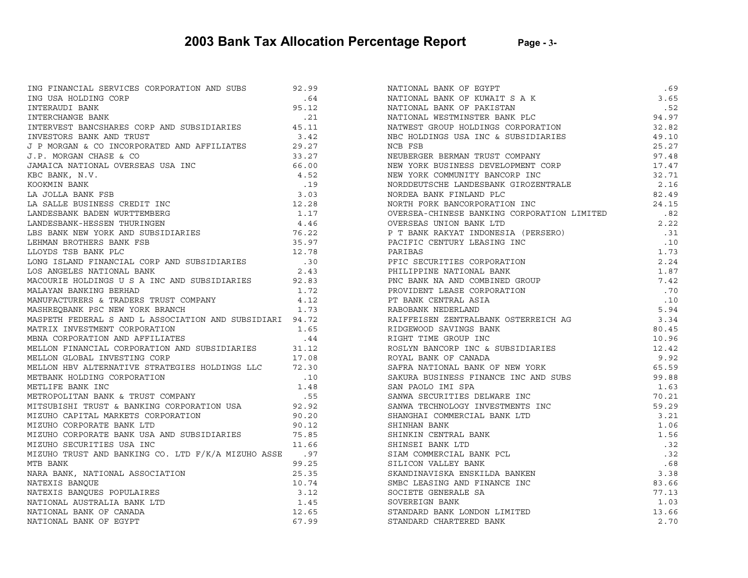| 'age |  |
|------|--|
|------|--|

| ING FINANCIAL SERVICES CORPORATION AND SUBS                                                                                                        | 92.99 |
|----------------------------------------------------------------------------------------------------------------------------------------------------|-------|
| ING USA HOLDING CORP                                                                                                                               | .64   |
| INTERAUDI BANK                                                                                                                                     | 95.12 |
| INTERCHANGE BANK                                                                                                                                   | .21   |
| INTERVEST BANCSHARES CORP AND SUBSIDIARIES 45.11                                                                                                   |       |
| INVESTORS BANK AND TRUST                                                                                                                           | 3.42  |
| J P MORGAN & CO INCORPORATED AND AFFILIATES 29.27                                                                                                  |       |
|                                                                                                                                                    |       |
|                                                                                                                                                    |       |
|                                                                                                                                                    |       |
|                                                                                                                                                    |       |
|                                                                                                                                                    |       |
|                                                                                                                                                    |       |
|                                                                                                                                                    |       |
|                                                                                                                                                    |       |
|                                                                                                                                                    |       |
|                                                                                                                                                    |       |
|                                                                                                                                                    |       |
|                                                                                                                                                    |       |
|                                                                                                                                                    | 2.43  |
| MACOURIE HOLDINGS U S A INC AND SUBSIDIARIES 92.83                                                                                                 |       |
| MALAYAN BANKING BERHAD                                                                                                                             | 1.72  |
| MALAYAN BANKING BERHAD<br>MANUFACTURERS & TRADERS TRUST COMPANY<br>MASHREQBANK PSC NEW YORK BRANCH                                                 | 4.12  |
| MASHREOBANK PSC NEW YORK BRANCH                                                                                                                    | 1.73  |
| MASPETH FEDERAL S AND L ASSOCIATION AND SUBSIDIARI 94.72                                                                                           |       |
| MATRIX INVESTMENT CORPORATION                                                                                                                      | 1.65  |
| MBNA CORPORATION AND AFFILIATES                                                                                                                    | .44   |
| MELLON FINANCIAL CORPORATION AND SUBSIDIARIES                                                                                                      | 31.12 |
| MELLON GLOBAL INVESTING CORP                                                                                                                       | 17.08 |
| MELLON HBV ALTERNATIVE STRATEGIES HOLDINGS LLC                                                                                                     | 72.30 |
| METBANK HOLDING CORPORATION                                                                                                                        | .10   |
| METLIFE BANK INC                                                                                                                                   | 1.48  |
| METROPOLITAN BANK & TRUST COMPANY                                                                                                                  | .55   |
| METROPOLITAN BANK & IRUSI COMEANI<br>MITSUBISHI TRUST & BANKING CORPORATION USA<br>MIZUHO CAPITAL MARKETS CORPORATION<br>MIZUHO CORPORATE BANK LTD | 92.92 |
|                                                                                                                                                    | 90.20 |
|                                                                                                                                                    | 90.12 |
| MIZUHO CORPORATE BANK USA AND SUBSIDIARIES<br>MIZUHO CORPORATE BANK USA AND SUBSIDIARIES                                                           | 75.85 |
| MIZUHO SECURITIES USA INC                                                                                                                          | 11.66 |
| MIZUHO TRUST AND BANKING CO. LTD F/K/A MIZUHO ASSE                                                                                                 | .97   |
| MTB BANK                                                                                                                                           | 99.25 |
| NARA BANK, NATIONAL ASSOCIATION                                                                                                                    | 25.35 |
| NATEXIS BANOUE                                                                                                                                     | 10.74 |
| NATEXIS BANQUES POPULAIRES                                                                                                                         | 3.12  |
| NATIONAL AUSTRALIA BANK LTD                                                                                                                        | 1.45  |
| NATIONAL BANK OF CANADA                                                                                                                            | 12.65 |
| NATIONAL BANK OF EGYPT                                                                                                                             | 67.99 |
|                                                                                                                                                    |       |

| NATIONAL BANK OF EGYPT                      | .69   |
|---------------------------------------------|-------|
| NATIONAL BANK OF KUWAIT S A K               | 3.65  |
| NATIONAL BANK OF PAKISTAN                   | .52   |
| NATIONAL WESTMINSTER BANK PLC               | 94.97 |
| NATWEST GROUP HOLDINGS CORPORATION          | 32.82 |
| NBC HOLDINGS USA INC & SUBSIDIARIES         | 49.10 |
| NCB FSB                                     | 25.27 |
| NEUBERGER BERMAN TRUST COMPANY              | 97.48 |
| NEW YORK BUSINESS DEVELOPMENT CORP          | 17.47 |
| NEW YORK COMMUNITY BANCORP INC              | 32.71 |
| NORDDEUTSCHE LANDESBANK GIROZENTRALE        | 2.16  |
| NORDEA BANK FINLAND PLC                     | 82.49 |
| NORTH FORK BANCORPORATION INC               | 24.15 |
| OVERSEA-CHINESE BANKING CORPORATION LIMITED | .82   |
| OVERSEAS UNION BANK LTD                     | 2.22  |
| P T BANK RAKYAT INDONESIA (PERSERO)         | .31   |
| PACIFIC CENTURY LEASING INC                 | .10   |
| PARIBAS                                     | 1.73  |
| PFIC SECURITIES CORPORATION                 | 2.24  |
| PHILIPPINE NATIONAL BANK                    | 1.87  |
| PNC BANK NA AND COMBINED GROUP              | 7.42  |
| PROVIDENT LEASE CORPORATION                 | .70   |
| PT BANK CENTRAL ASIA                        | .10   |
| RABOBANK NEDERLAND                          | 5.94  |
| RAIFFEISEN ZENTRALBANK OSTERREICH AG        | 3.34  |
| RIDGEWOOD SAVINGS BANK                      | 80.45 |
| RIGHT TIME GROUP INC                        | 10.96 |
| ROSLYN BANCORP INC & SUBSIDIARIES           | 12.42 |
| ROYAL BANK OF CANADA                        | 9.92  |
| SAFRA NATIONAL BANK OF NEW YORK             | 65.59 |
| SAKURA BUSINESS FINANCE INC AND SUBS        | 99.88 |
| SAN PAOLO IMI SPA                           | 1.63  |
| SANWA SECURITIES DELWARE INC                | 70.21 |
| SANWA TECHNOLOGY INVESTMENTS INC            | 59.29 |
| SHANGHAI COMMERCIAL BANK LTD                | 3.21  |
| SHINHAN BANK                                | 1.06  |
| SHINKIN CENTRAL BANK                        | 1.56  |
| SHINSEI BANK LTD                            | .32   |
| SIAM COMMERCIAL BANK PCL                    | .32   |
| SILICON VALLEY BANK                         | .68   |
| SKANDINAVISKA ENSKILDA BANKEN               | 3.38  |
| SMBC LEASING AND FINANCE INC                |       |
|                                             | 83.66 |
| SOCIETE GENERALE SA                         | 77.13 |
| SOVEREIGN BANK                              | 1.03  |
| STANDARD BANK LONDON LIMITED                | 13.66 |
| STANDARD CHARTERED BANK                     | 2.70  |